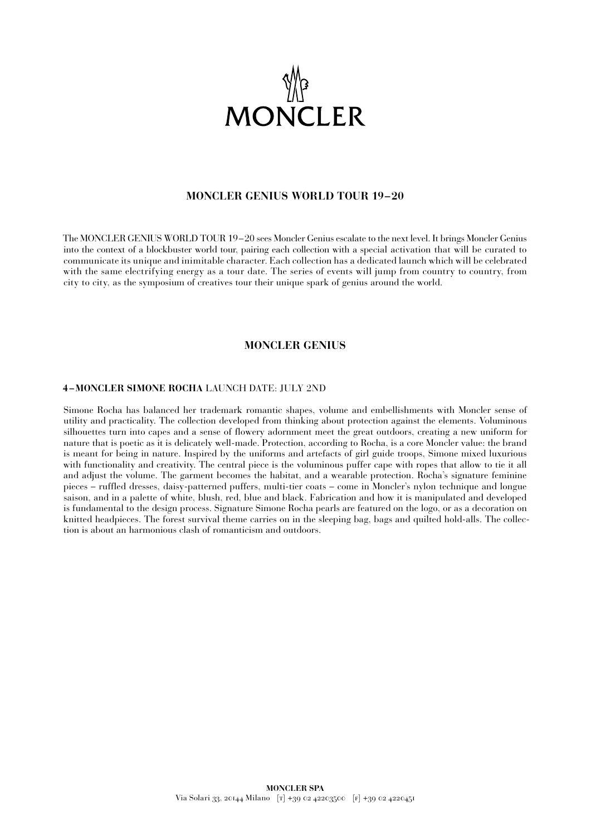

## **MONCLER GENIUS WORLD TOUR 19–20**

The MONCLER GENIUS WORLD TOUR 19–20 sees Moncler Genius escalate to the next level. It brings Moncler Genius into the context of a blockbuster world tour, pairing each collection with a special activation that will be curated to communicate its unique and inimitable character. Each collection has a dedicated launch which will be celebrated with the same electrifying energy as a tour date. The series of events will jump from country to country, from city to city, as the symposium of creatives tour their unique spark of genius around the world.

## **MONCLER GENIUS**

### **4 –MONCLER SIMONE ROCHA** LAUNCH DATE: JULY 2ND

Simone Rocha has balanced her trademark romantic shapes, volume and embellishments with Moncler sense of utility and practicality. The collection developed from thinking about protection against the elements. Voluminous silhouettes turn into capes and a sense of flowery adornment meet the great outdoors, creating a new uniform for nature that is poetic as it is delicately well-made. Protection, according to Rocha, is a core Moncler value: the brand is meant for being in nature. Inspired by the uniforms and artefacts of girl guide troops, Simone mixed luxurious with functionality and creativity. The central piece is the voluminous puffer cape with ropes that allow to tie it all and adjust the volume. The garment becomes the habitat, and a wearable protection. Rocha's signature feminine pieces – ruffled dresses, daisy-patterned puffers, multi-tier coats – come in Moncler's nylon technique and longue saison, and in a palette of white, blush, red, blue and black. Fabrication and how it is manipulated and developed is fundamental to the design process. Signature Simone Rocha pearls are featured on the logo, or as a decoration on knitted headpieces. The forest survival theme carries on in the sleeping bag, bags and quilted hold-alls. The collection is about an harmonious clash of romanticism and outdoors.